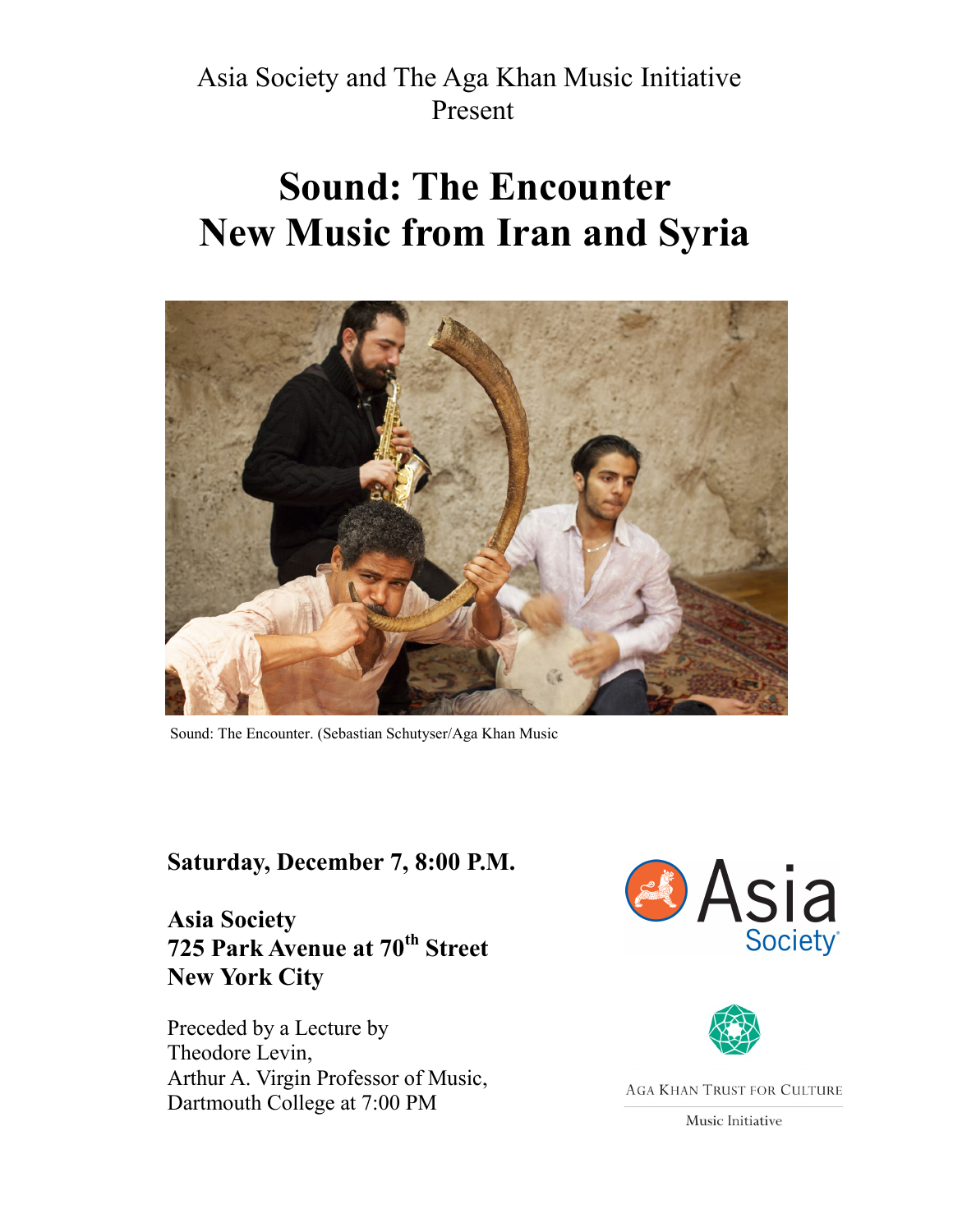Asia Society and The Aga Khan Music Initiative Present

# **Sound: The Encounter New Music from Iran and Syria**



Sound: The Encounter. (Sebastian Schutyser/Aga Khan Music

#### **Saturday, December 7, 8:00 P.M.**

**Asia Society 725 Park Avenue at 70th Street New York City**

Preceded by a Lecture by Theodore Levin, Arthur A. Virgin Professor of Music, Dartmouth College at 7:00 PM





**AGA KHAN TRUST FOR CULTURE** 

Music Initiative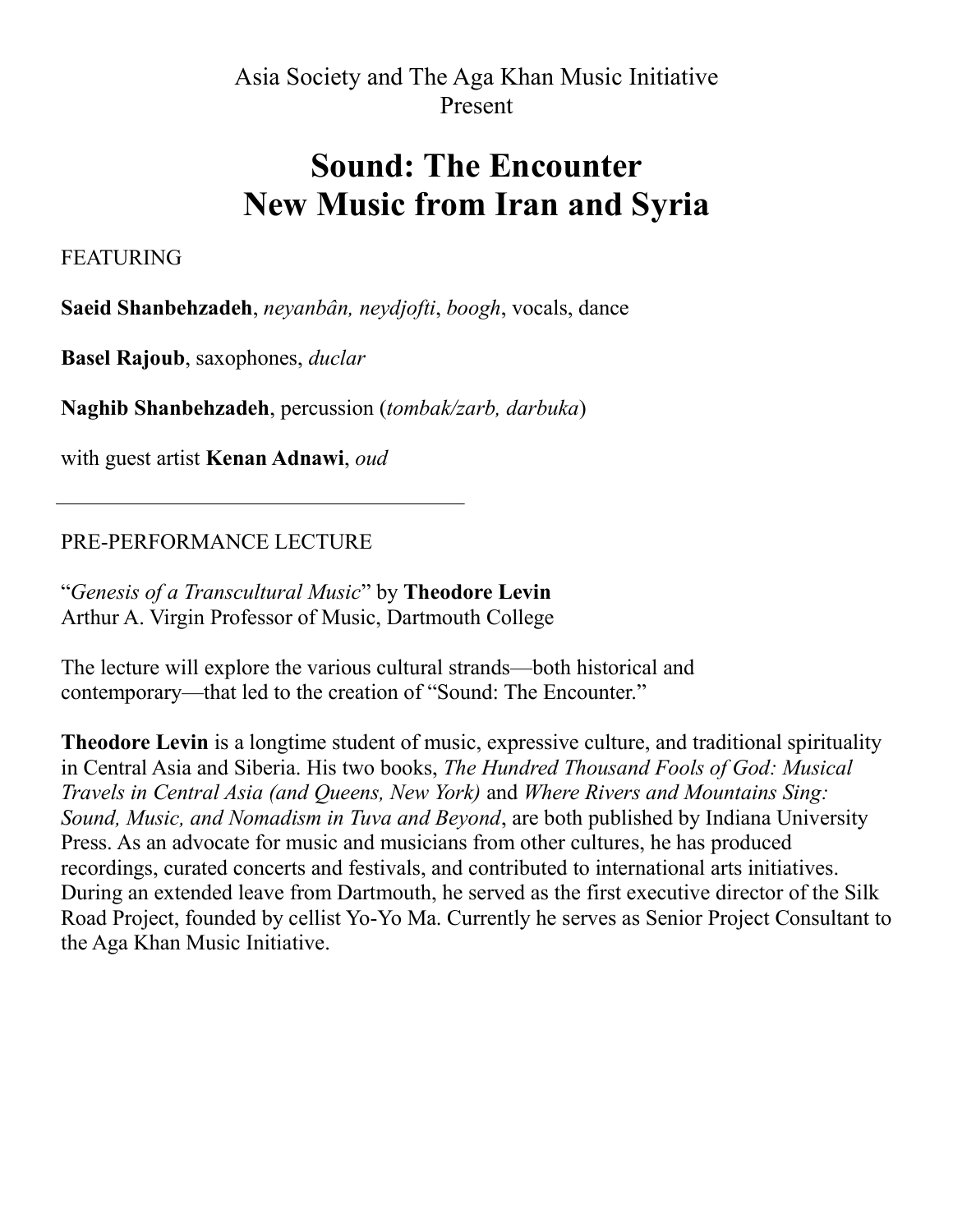Asia Society and The Aga Khan Music Initiative Present

# **Sound: The Encounter New Music from Iran and Syria**

FEATURING

**Saeid Shanbehzadeh**, *neyanbân, neydjofti*, *boogh*, vocals, dance

**Basel Rajoub**, saxophones, *duclar* 

**Naghib Shanbehzadeh**, percussion (*tombak/zarb, darbuka*)

with guest artist **Kenan Adnawi**, *oud*

PRE-PERFORMANCE LECTURE

"*Genesis of a Transcultural Music*" by **Theodore Levin** Arthur A. Virgin Professor of Music, Dartmouth College

The lecture will explore the various cultural strands—both historical and contemporary—that led to the creation of "Sound: The Encounter."

**Theodore Levin** is a longtime student of music, expressive culture, and traditional spirituality in Central Asia and Siberia. His two books, *The Hundred Thousand Fools of God: Musical Travels in Central Asia (and Queens, New York)* and *Where Rivers and Mountains Sing: Sound, Music, and Nomadism in Tuva and Beyond*, are both published by Indiana University Press. As an advocate for music and musicians from other cultures, he has produced recordings, curated concerts and festivals, and contributed to international arts initiatives. During an extended leave from Dartmouth, he served as the first executive director of the Silk Road Project, founded by cellist Yo-Yo Ma. Currently he serves as Senior Project Consultant to the Aga Khan Music Initiative.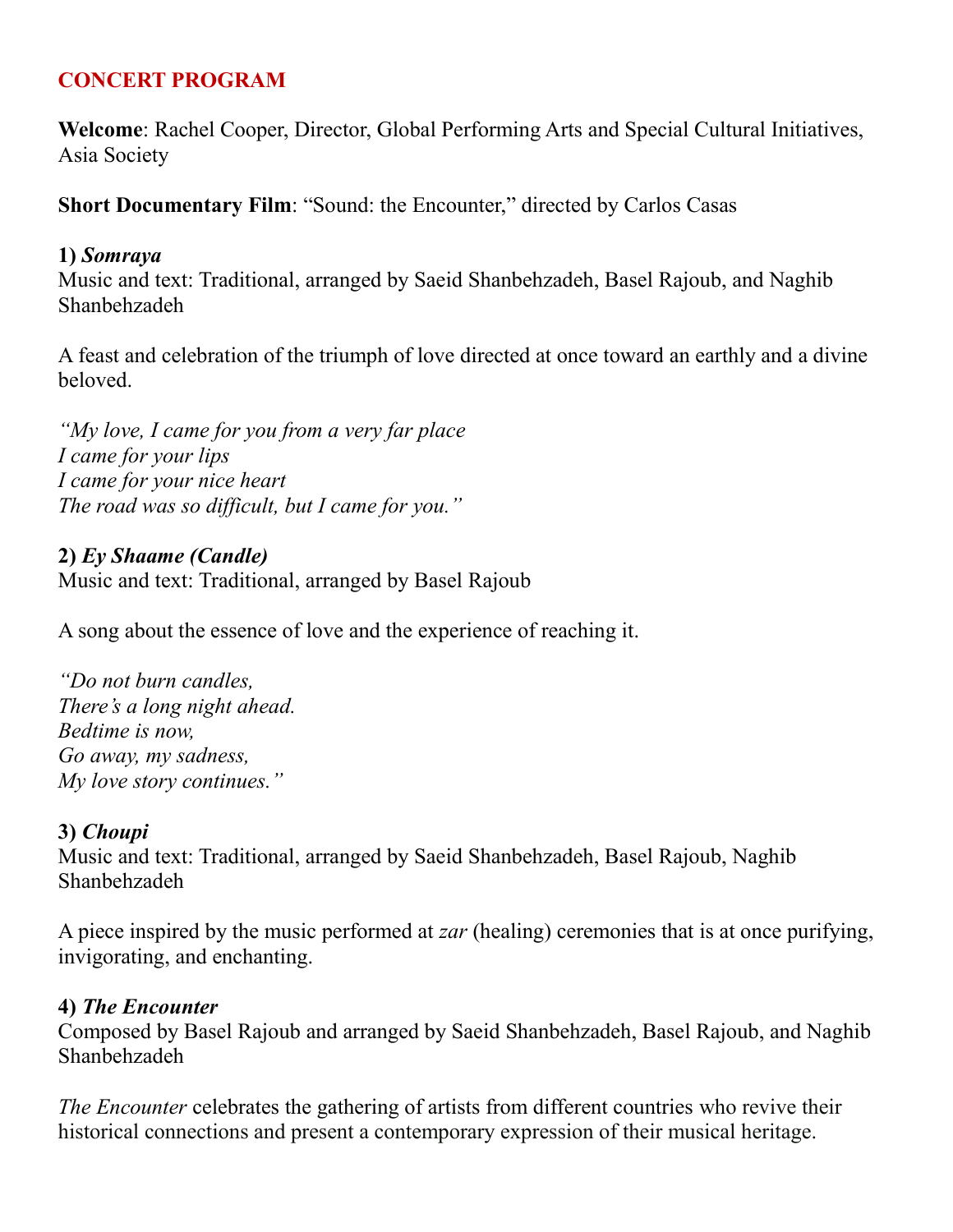## **CONCERT PROGRAM**

**Welcome**: Rachel Cooper, Director, Global Performing Arts and Special Cultural Initiatives, Asia Society

**Short Documentary Film: "Sound: the Encounter," directed by Carlos Casas** 

#### **1)** *Somraya*

Music and text: Traditional, arranged by Saeid Shanbehzadeh, Basel Rajoub, and Naghib Shanbehzadeh

A feast and celebration of the triumph of love directed at once toward an earthly and a divine beloved.

*"My love, I came for you from a very far place I came for your lips I came for your nice heart The road was so difficult, but I came for you."*

#### **2)** *Ey Shaame (Candle)*

Music and text: Traditional, arranged by Basel Rajoub

A song about the essence of love and the experience of reaching it.

*"Do not burn candles, There's a long night ahead. Bedtime is now, Go away, my sadness, My love story continues."*

#### **3)** *Choupi*

Music and text: Traditional, arranged by Saeid Shanbehzadeh, Basel Rajoub, Naghib Shanbehzadeh

A piece inspired by the music performed at *zar* (healing) ceremonies that is at once purifying, invigorating, and enchanting.

#### **4)** *The Encounter*

Composed by Basel Rajoub and arranged by Saeid Shanbehzadeh, Basel Rajoub, and Naghib Shanbehzadeh

*The Encounter* celebrates the gathering of artists from different countries who revive their historical connections and present a contemporary expression of their musical heritage.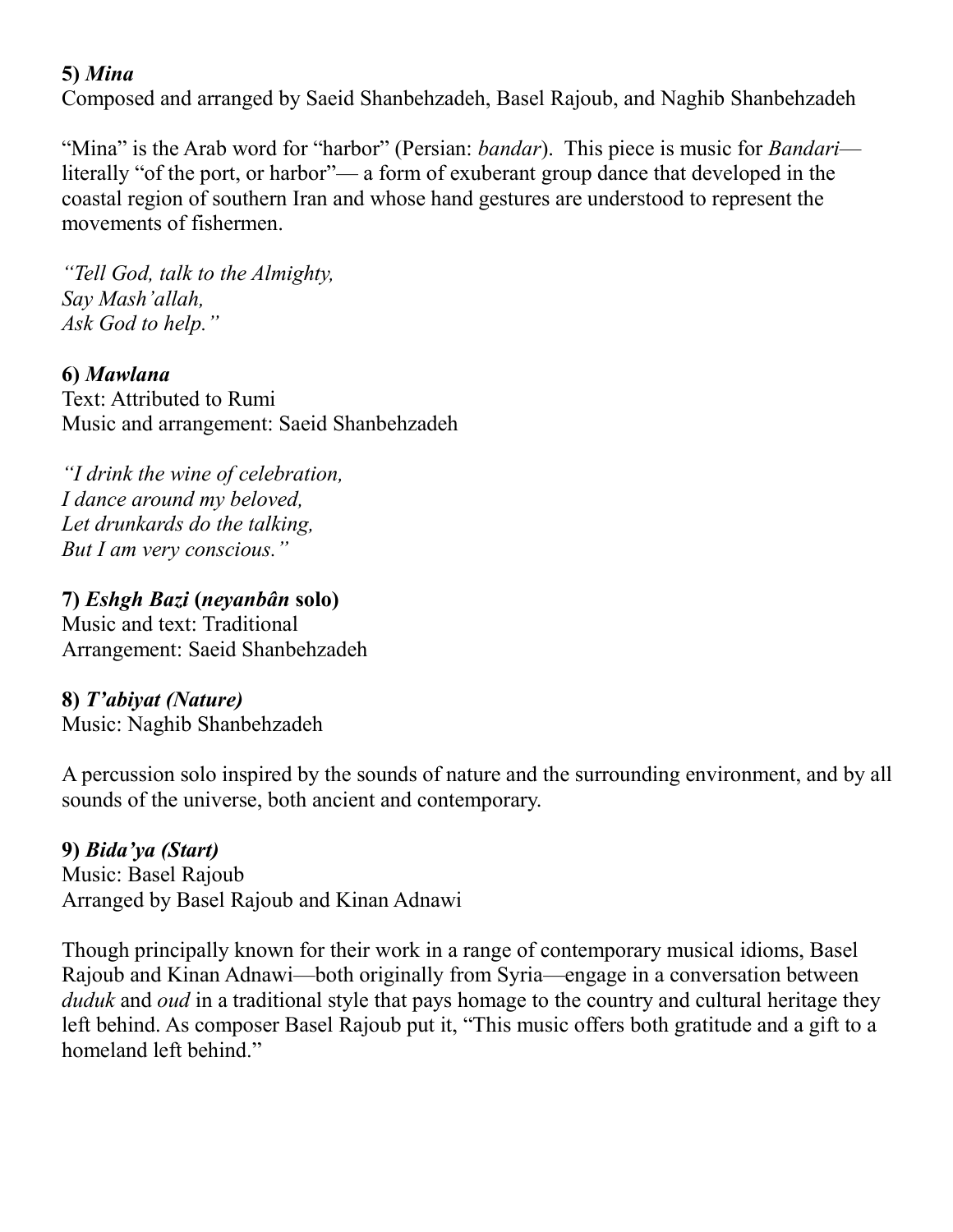## **5)** *Mina*

Composed and arranged by Saeid Shanbehzadeh, Basel Rajoub, and Naghib Shanbehzadeh

"Mina" is the Arab word for "harbor" (Persian: *bandar*). This piece is music for *Bandari* literally "of the port, or harbor"— a form of exuberant group dance that developed in the coastal region of southern Iran and whose hand gestures are understood to represent the movements of fishermen.

*"Tell God, talk to the Almighty, Say Mash'allah, Ask God to help."*

**6)** *Mawlana* Text: Attributed to Rumi Music and arrangement: Saeid Shanbehzadeh

*"I drink the wine of celebration, I dance around my beloved, Let drunkards do the talking, But I am very conscious."*

#### **7)** *Eshgh Bazi* **(***neyanbân* **solo)**

Music and text: Traditional Arrangement: Saeid Shanbehzadeh

#### **8)** *T'abiyat (Nature)*

Music: Naghib Shanbehzadeh

A percussion solo inspired by the sounds of nature and the surrounding environment, and by all sounds of the universe, both ancient and contemporary.

#### **9)** *Bida'ya (Start)*

Music: Basel Rajoub Arranged by Basel Rajoub and Kinan Adnawi

Though principally known for their work in a range of contemporary musical idioms, Basel Rajoub and Kinan Adnawi—both originally from Syria—engage in a conversation between *duduk* and *oud* in a traditional style that pays homage to the country and cultural heritage they left behind. As composer Basel Rajoub put it, "This music offers both gratitude and a gift to a homeland left behind."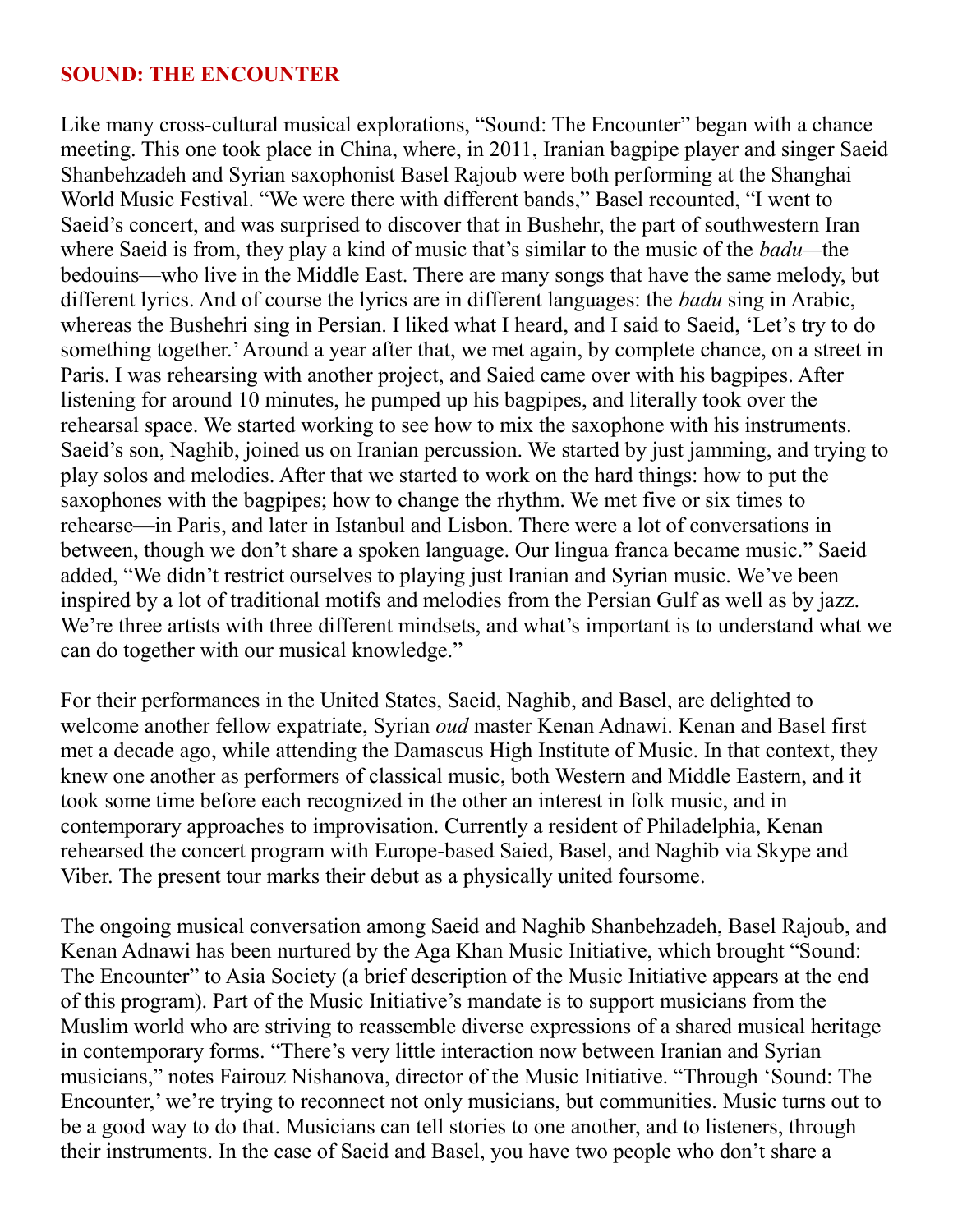#### **SOUND: THE ENCOUNTER**

Like many cross-cultural musical explorations, "Sound: The Encounter" began with a chance meeting. This one took place in China, where, in 2011, Iranian bagpipe player and singer Saeid Shanbehzadeh and Syrian saxophonist Basel Rajoub were both performing at the Shanghai World Music Festival. "We were there with different bands," Basel recounted, "I went to Saeid's concert, and was surprised to discover that in Bushehr, the part of southwestern Iran where Saeid is from, they play a kind of music that's similar to the music of the *badu—*the bedouins—who live in the Middle East. There are many songs that have the same melody, but different lyrics. And of course the lyrics are in different languages: the *badu* sing in Arabic, whereas the Bushehri sing in Persian. I liked what I heard, and I said to Saeid, 'Let's try to do something together.' Around a year after that, we met again, by complete chance, on a street in Paris. I was rehearsing with another project, and Saied came over with his bagpipes. After listening for around 10 minutes, he pumped up his bagpipes, and literally took over the rehearsal space. We started working to see how to mix the saxophone with his instruments. Saeid's son, Naghib, joined us on Iranian percussion. We started by just jamming, and trying to play solos and melodies. After that we started to work on the hard things: how to put the saxophones with the bagpipes; how to change the rhythm. We met five or six times to rehearse—in Paris, and later in Istanbul and Lisbon. There were a lot of conversations in between, though we don't share a spoken language. Our lingua franca became music." Saeid added, "We didn't restrict ourselves to playing just Iranian and Syrian music. We've been inspired by a lot of traditional motifs and melodies from the Persian Gulf as well as by jazz. We're three artists with three different mindsets, and what's important is to understand what we can do together with our musical knowledge."

For their performances in the United States, Saeid, Naghib, and Basel, are delighted to welcome another fellow expatriate, Syrian *oud* master Kenan Adnawi. Kenan and Basel first met a decade ago, while attending the Damascus High Institute of Music. In that context, they knew one another as performers of classical music, both Western and Middle Eastern, and it took some time before each recognized in the other an interest in folk music, and in contemporary approaches to improvisation. Currently a resident of Philadelphia, Kenan rehearsed the concert program with Europe-based Saied, Basel, and Naghib via Skype and Viber. The present tour marks their debut as a physically united foursome.

The ongoing musical conversation among Saeid and Naghib Shanbehzadeh, Basel Rajoub, and Kenan Adnawi has been nurtured by the Aga Khan Music Initiative, which brought "Sound: The Encounter" to Asia Society (a brief description of the Music Initiative appears at the end of this program). Part of the Music Initiative's mandate is to support musicians from the Muslim world who are striving to reassemble diverse expressions of a shared musical heritage in contemporary forms. "There's very little interaction now between Iranian and Syrian musicians," notes Fairouz Nishanova, director of the Music Initiative. "Through 'Sound: The Encounter,' we're trying to reconnect not only musicians, but communities. Music turns out to be a good way to do that. Musicians can tell stories to one another, and to listeners, through their instruments. In the case of Saeid and Basel, you have two people who don't share a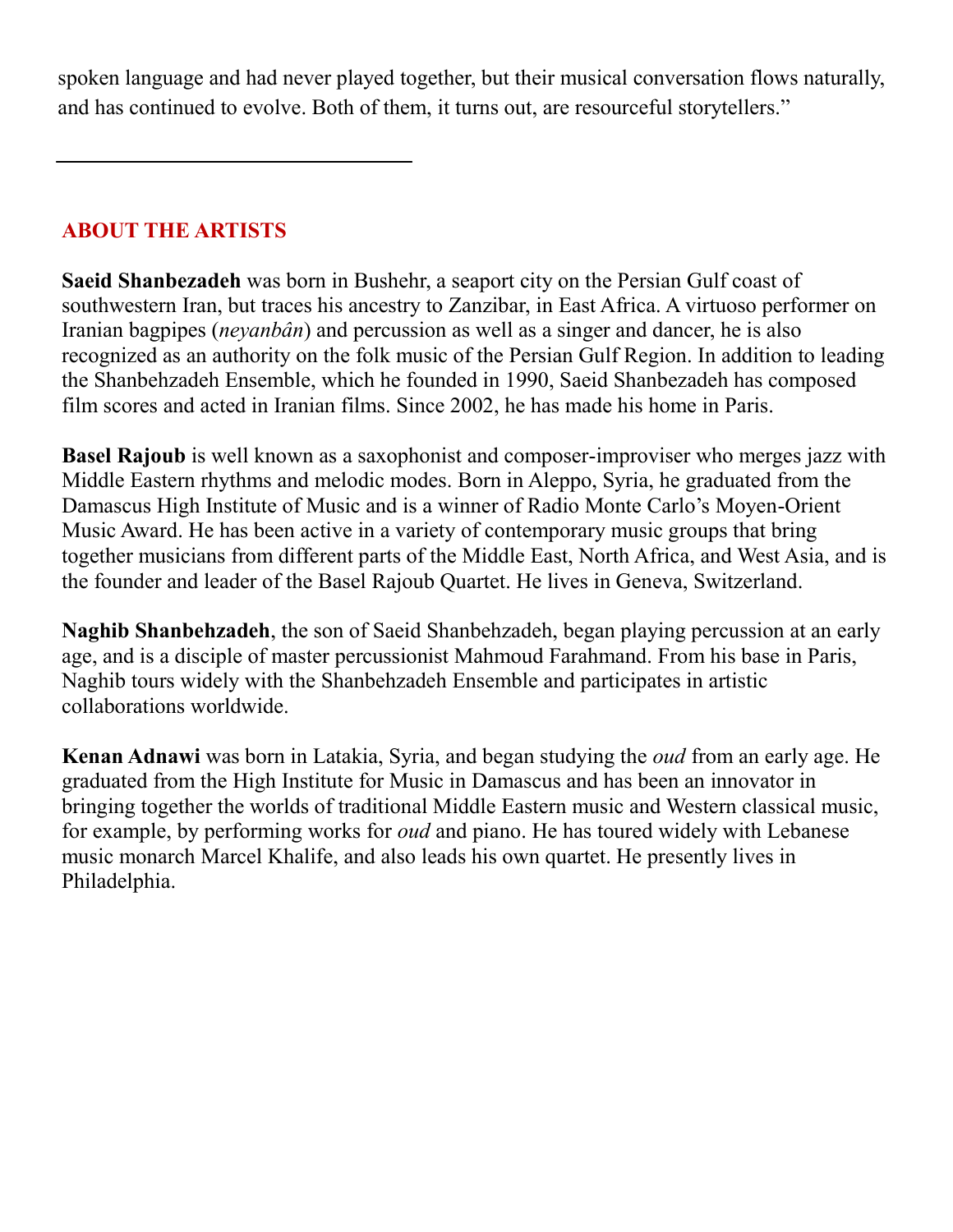spoken language and had never played together, but their musical conversation flows naturally, and has continued to evolve. Both of them, it turns out, are resourceful storytellers."

# **ABOUT THE ARTISTS**

**Saeid Shanbezadeh** was born in Bushehr, a seaport city on the Persian Gulf coast of southwestern Iran, but traces his ancestry to Zanzibar, in East Africa. A virtuoso performer on Iranian bagpipes (*neyanbân*) and percussion as well as a singer and dancer, he is also recognized as an authority on the folk music of the Persian Gulf Region. In addition to leading the Shanbehzadeh Ensemble, which he founded in 1990, Saeid Shanbezadeh has composed film scores and acted in Iranian films. Since 2002, he has made his home in Paris.

**Basel Rajoub** is well known as a saxophonist and composer-improviser who merges jazz with Middle Eastern rhythms and melodic modes. Born in Aleppo, Syria, he graduated from the Damascus High Institute of Music and is a winner of Radio Monte Carlo's Moyen-Orient Music Award. He has been active in a variety of contemporary music groups that bring together musicians from different parts of the Middle East, North Africa, and West Asia, and is the founder and leader of the Basel Rajoub Quartet. He lives in Geneva, Switzerland.

**Naghib Shanbehzadeh**, the son of Saeid Shanbehzadeh, began playing percussion at an early age, and is a disciple of master percussionist Mahmoud Farahmand. From his base in Paris, Naghib tours widely with the Shanbehzadeh Ensemble and participates in artistic collaborations worldwide.

**Kenan Adnawi** was born in Latakia, Syria, and began studying the *oud* from an early age. He graduated from the High Institute for Music in Damascus and has been an innovator in bringing together the worlds of traditional Middle Eastern music and Western classical music, for example, by performing works for *oud* and piano. He has toured widely with Lebanese music monarch Marcel Khalife, and also leads his own quartet. He presently lives in Philadelphia.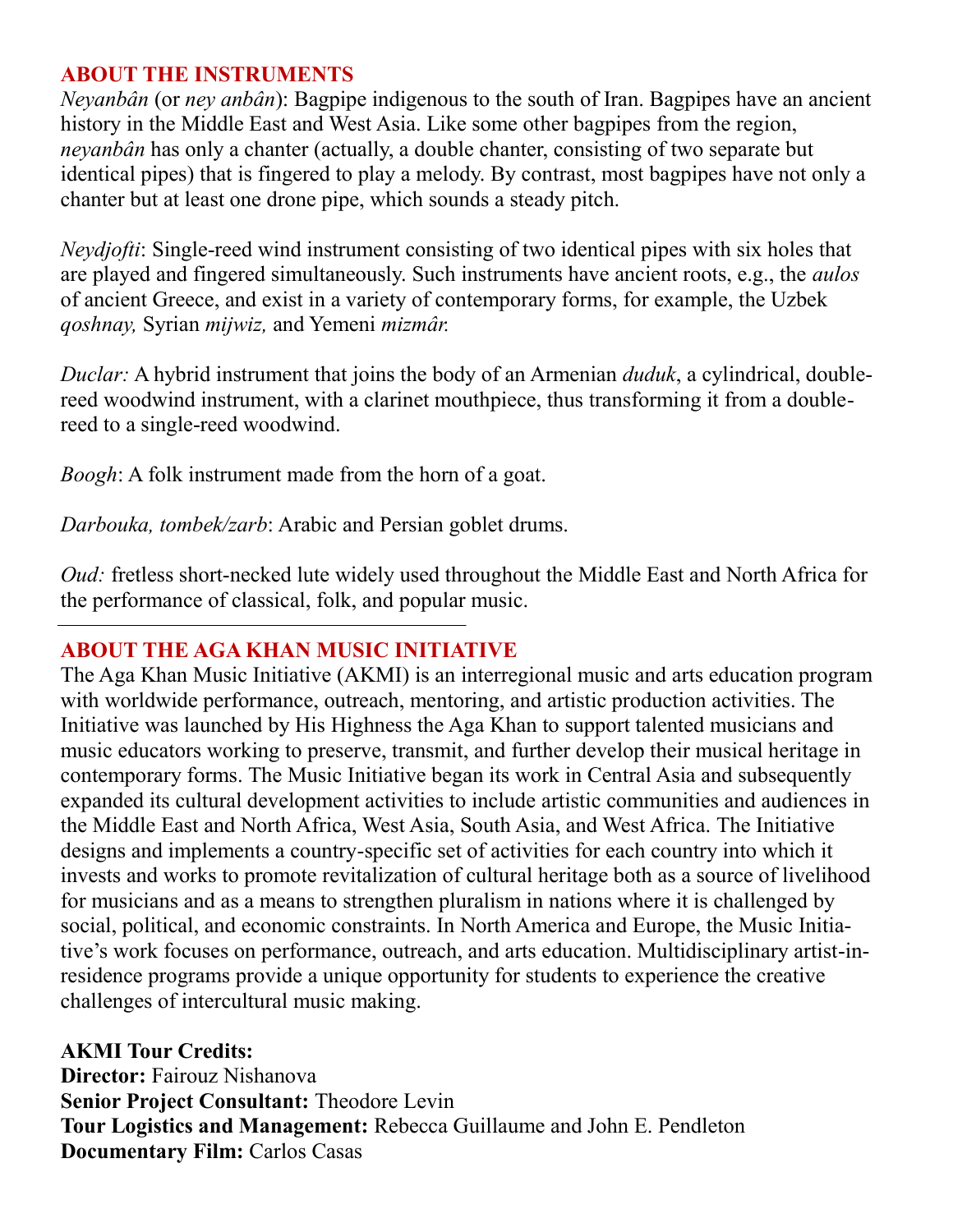#### **ABOUT THE INSTRUMENTS**

*Neyanbân* (or *ney anbân*): Bagpipe indigenous to the south of Iran. Bagpipes have an ancient history in the Middle East and West Asia. Like some other bagpipes from the region, *neyanbân* has only a chanter (actually, a double chanter, consisting of two separate but identical pipes) that is fingered to play a melody. By contrast, most bagpipes have not only a chanter but at least one drone pipe, which sounds a steady pitch.

*Neydjofti*: Single-reed wind instrument consisting of two identical pipes with six holes that are played and fingered simultaneously. Such instruments have ancient roots, e.g., the *aulos* of ancient Greece, and exist in a variety of contemporary forms, for example, the Uzbek *qoshnay,* Syrian *mijwiz,* and Yemeni *mizmâr.*

*Duclar:* A hybrid instrument that joins the body of an Armenian *duduk*, a cylindrical, doublereed woodwind instrument, with a clarinet mouthpiece, thus transforming it from a doublereed to a single-reed woodwind.

*Boogh*: A folk instrument made from the horn of a goat.

*Darbouka, tombek/zarb*: Arabic and Persian goblet drums.

*Oud:* fretless short-necked lute widely used throughout the Middle East and North Africa for the performance of classical, folk, and popular music.

#### **ABOUT THE AGA KHAN MUSIC INITIATIVE**

The Aga Khan Music Initiative (AKMI) is an interregional music and arts education program with worldwide performance, outreach, mentoring, and artistic production activities. The Initiative was launched by His Highness the Aga Khan to support talented musicians and music educators working to preserve, transmit, and further develop their musical heritage in contemporary forms. The Music Initiative began its work in Central Asia and subsequently expanded its cultural development activities to include artistic communities and audiences in the Middle East and North Africa, West Asia, South Asia, and West Africa. The Initiative designs and implements a country-specific set of activities for each country into which it invests and works to promote revitalization of cultural heritage both as a source of livelihood for musicians and as a means to strengthen pluralism in nations where it is challenged by social, political, and economic constraints. In North America and Europe, the Music Initiative's work focuses on performance, outreach, and arts education. Multidisciplinary artist-inresidence programs provide a unique opportunity for students to experience the creative challenges of intercultural music making.

**AKMI Tour Credits: Director:** Fairouz Nishanova **Senior Project Consultant:** Theodore Levin **Tour Logistics and Management:** Rebecca Guillaume and John E. Pendleton **Documentary Film:** Carlos Casas